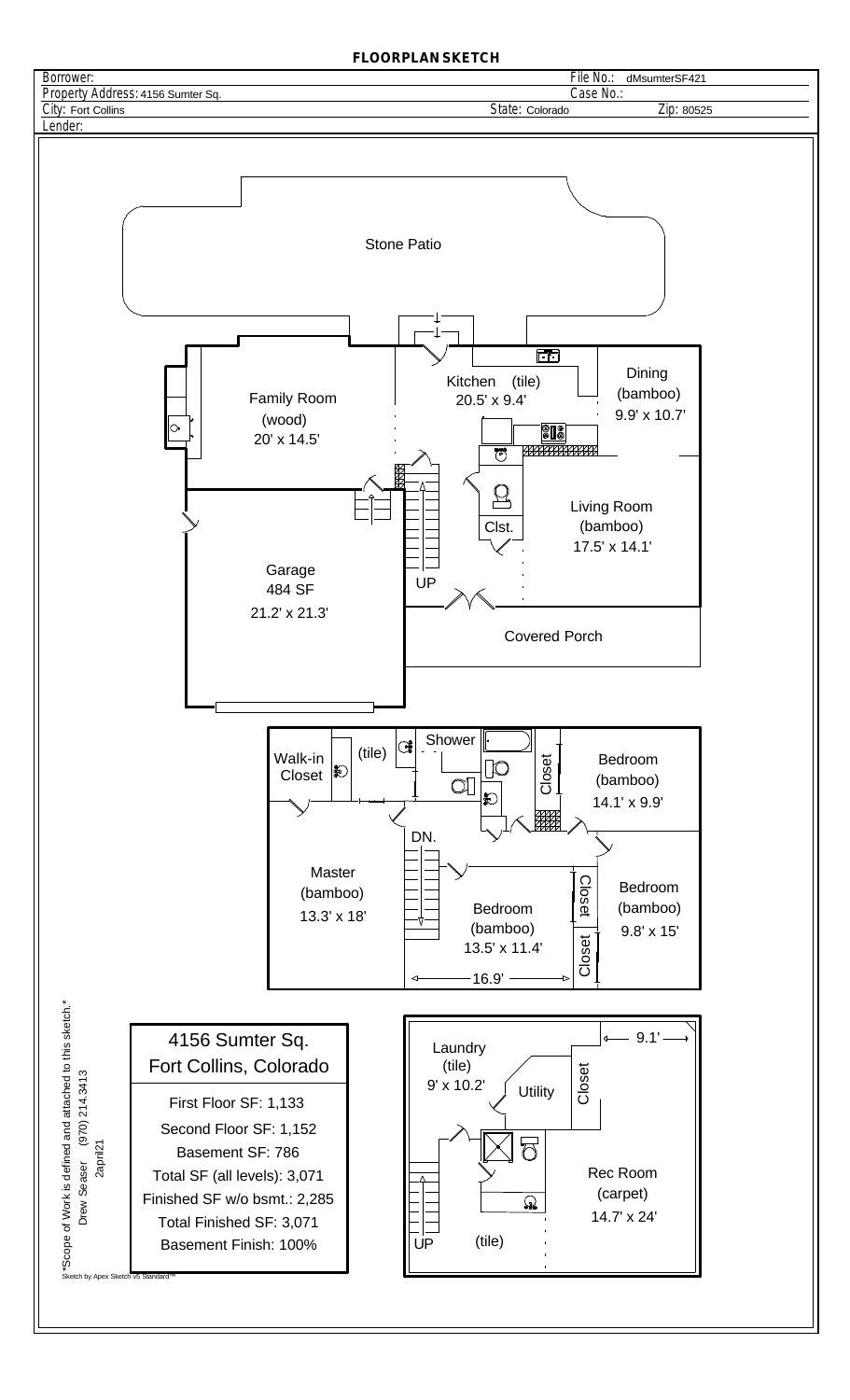